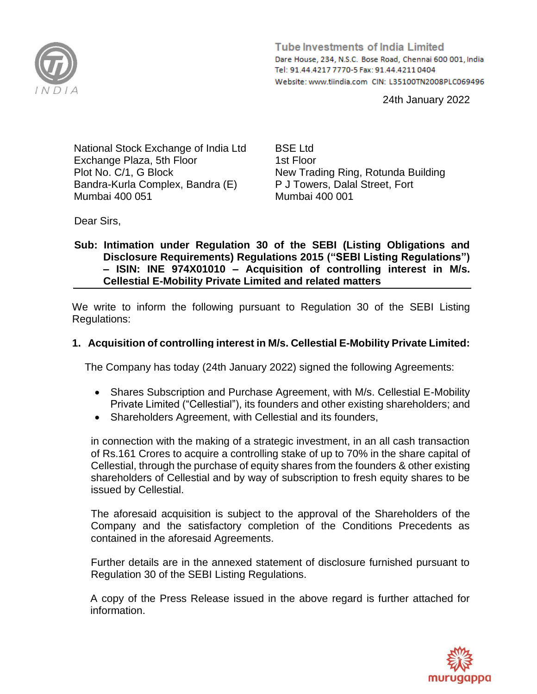

**Tube Investments of India Limited** Dare House, 234, N.S.C. Bose Road, Chennai 600 001, India Tel: 91.44.4217 7770-5 Fax: 91.44.4211 0404 Website: www.tiindia.com CIN: L35100TN2008PLC069496

24th January 2022

National Stock Exchange of India Ltd Exchange Plaza, 5th Floor Plot No. C/1, G Block Bandra-Kurla Complex, Bandra (E) Mumbai 400 051

BSE Ltd 1st Floor New Trading Ring, Rotunda Building P J Towers, Dalal Street, Fort Mumbai 400 001

Dear Sirs,

### **Sub: Intimation under Regulation 30 of the SEBI (Listing Obligations and Disclosure Requirements) Regulations 2015 ("SEBI Listing Regulations") – ISIN: INE 974X01010 – Acquisition of controlling interest in M/s. Cellestial E-Mobility Private Limited and related matters**

We write to inform the following pursuant to Regulation 30 of the SEBI Listing Regulations:

## **1. Acquisition of controlling interest in M/s. Cellestial E-Mobility Private Limited:**

The Company has today (24th January 2022) signed the following Agreements:

- Shares Subscription and Purchase Agreement, with M/s. Cellestial E-Mobility Private Limited ("Cellestial"), its founders and other existing shareholders; and
- Shareholders Agreement, with Cellestial and its founders,

in connection with the making of a strategic investment, in an all cash transaction of Rs.161 Crores to acquire a controlling stake of up to 70% in the share capital of Cellestial, through the purchase of equity shares from the founders & other existing shareholders of Cellestial and by way of subscription to fresh equity shares to be issued by Cellestial.

The aforesaid acquisition is subject to the approval of the Shareholders of the Company and the satisfactory completion of the Conditions Precedents as contained in the aforesaid Agreements.

Further details are in the annexed statement of disclosure furnished pursuant to Regulation 30 of the SEBI Listing Regulations.

A copy of the Press Release issued in the above regard is further attached for information.

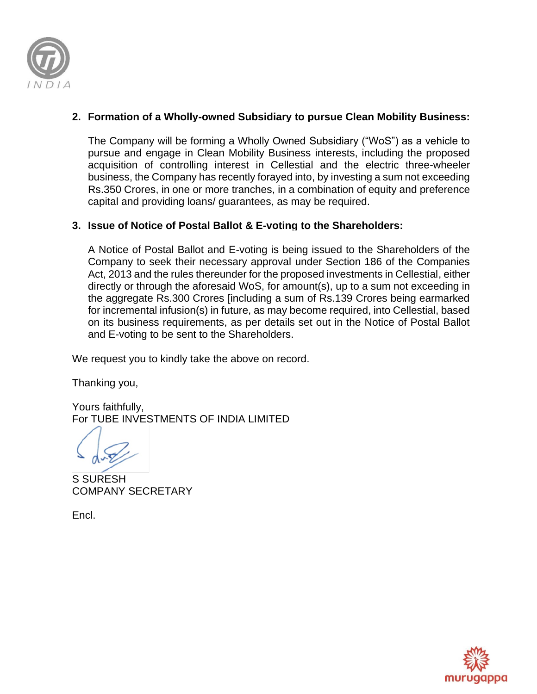

# **2. Formation of a Wholly-owned Subsidiary to pursue Clean Mobility Business:**

The Company will be forming a Wholly Owned Subsidiary ("WoS") as a vehicle to pursue and engage in Clean Mobility Business interests, including the proposed acquisition of controlling interest in Cellestial and the electric three-wheeler business, the Company has recently forayed into, by investing a sum not exceeding Rs.350 Crores, in one or more tranches, in a combination of equity and preference capital and providing loans/ guarantees, as may be required.

## **3. Issue of Notice of Postal Ballot & E-voting to the Shareholders:**

A Notice of Postal Ballot and E-voting is being issued to the Shareholders of the Company to seek their necessary approval under Section 186 of the Companies Act, 2013 and the rules thereunder for the proposed investments in Cellestial, either directly or through the aforesaid WoS, for amount(s), up to a sum not exceeding in the aggregate Rs.300 Crores [including a sum of Rs.139 Crores being earmarked for incremental infusion(s) in future, as may become required, into Cellestial, based on its business requirements, as per details set out in the Notice of Postal Ballot and E-voting to be sent to the Shareholders.

We request you to kindly take the above on record.

Thanking you,

Yours faithfully, For TUBE INVESTMENTS OF INDIA LIMITED

S SURESH COMPANY SECRETARY

Encl.

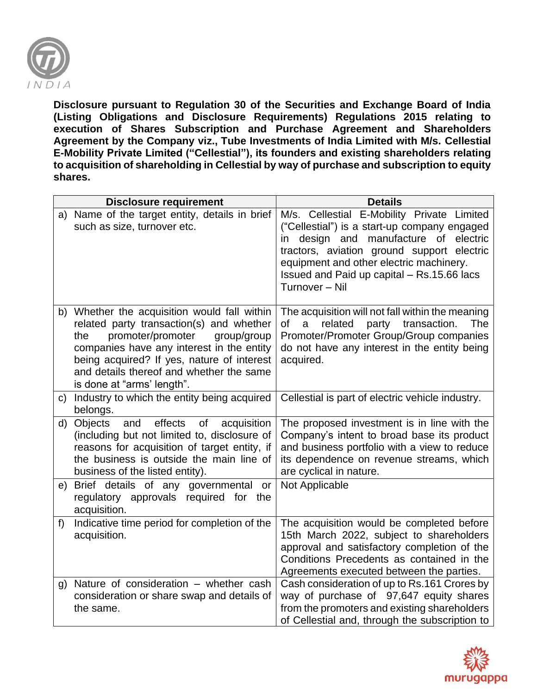

**Disclosure pursuant to Regulation 30 of the Securities and Exchange Board of India (Listing Obligations and Disclosure Requirements) Regulations 2015 relating to execution of Shares Subscription and Purchase Agreement and Shareholders Agreement by the Company viz., Tube Investments of India Limited with M/s. Cellestial E-Mobility Private Limited ("Cellestial"), its founders and existing shareholders relating to acquisition of shareholding in Cellestial by way of purchase and subscription to equity shares.**

|    | <b>Disclosure requirement</b>                                                                                                                                                                                                                                                                            | <b>Details</b>                                                                                                                                                                                                                                                                                  |
|----|----------------------------------------------------------------------------------------------------------------------------------------------------------------------------------------------------------------------------------------------------------------------------------------------------------|-------------------------------------------------------------------------------------------------------------------------------------------------------------------------------------------------------------------------------------------------------------------------------------------------|
|    | a) Name of the target entity, details in brief<br>such as size, turnover etc.                                                                                                                                                                                                                            | M/s. Cellestial E-Mobility Private Limited<br>("Cellestial") is a start-up company engaged<br>design and manufacture of electric<br>in<br>tractors, aviation ground support electric<br>equipment and other electric machinery.<br>Issued and Paid up capital - Rs.15.66 lacs<br>Turnover - Nil |
|    | b) Whether the acquisition would fall within<br>related party transaction(s) and whether<br>promoter/promoter<br>group/group<br>the<br>companies have any interest in the entity<br>being acquired? If yes, nature of interest<br>and details thereof and whether the same<br>is done at "arms' length". | The acquisition will not fall within the meaning<br>transaction.<br><b>The</b><br>0f<br>related<br>party<br>a<br>Promoter/Promoter Group/Group companies<br>do not have any interest in the entity being<br>acquired.                                                                           |
| C) | Industry to which the entity being acquired<br>belongs.                                                                                                                                                                                                                                                  | Cellestial is part of electric vehicle industry.                                                                                                                                                                                                                                                |
| d) | <b>Objects</b><br>effects<br>of<br>and<br>acquisition<br>(including but not limited to, disclosure of<br>reasons for acquisition of target entity, if<br>the business is outside the main line of<br>business of the listed entity).                                                                     | The proposed investment is in line with the<br>Company's intent to broad base its product<br>and business portfolio with a view to reduce<br>its dependence on revenue streams, which<br>are cyclical in nature.                                                                                |
| e) | Brief details of any governmental<br>or<br>regulatory approvals required for<br>the<br>acquisition.                                                                                                                                                                                                      | Not Applicable                                                                                                                                                                                                                                                                                  |
| f) | Indicative time period for completion of the<br>acquisition.                                                                                                                                                                                                                                             | The acquisition would be completed before<br>15th March 2022, subject to shareholders<br>approval and satisfactory completion of the<br>Conditions Precedents as contained in the<br>Agreements executed between the parties.                                                                   |
| g) | Nature of consideration - whether cash<br>consideration or share swap and details of<br>the same.                                                                                                                                                                                                        | Cash consideration of up to Rs.161 Crores by<br>way of purchase of 97,647 equity shares<br>from the promoters and existing shareholders<br>of Cellestial and, through the subscription to                                                                                                       |

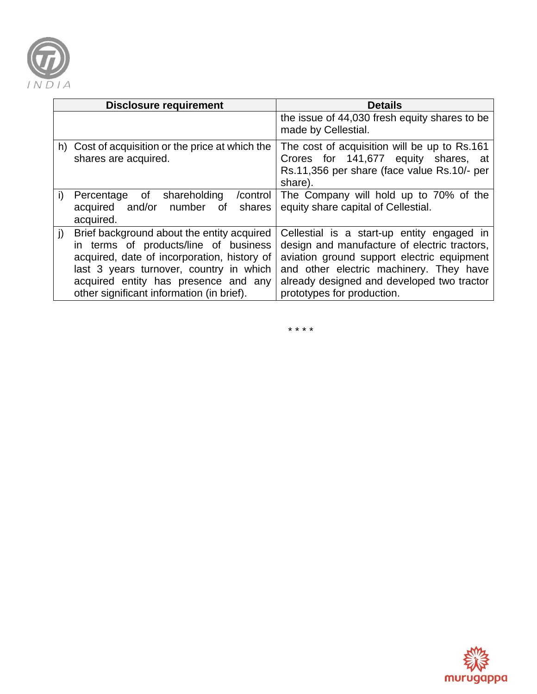

| <b>Disclosure requirement</b> |                                                                                                                                                                                                                                                                    | <b>Details</b>                                                                                                                                                                                                                                                  |
|-------------------------------|--------------------------------------------------------------------------------------------------------------------------------------------------------------------------------------------------------------------------------------------------------------------|-----------------------------------------------------------------------------------------------------------------------------------------------------------------------------------------------------------------------------------------------------------------|
|                               |                                                                                                                                                                                                                                                                    | the issue of 44,030 fresh equity shares to be<br>made by Cellestial.                                                                                                                                                                                            |
|                               | h) Cost of acquisition or the price at which the<br>shares are acquired.                                                                                                                                                                                           | The cost of acquisition will be up to Rs.161<br>Crores for 141,677 equity shares, at<br>Rs.11,356 per share (face value Rs.10/- per<br>share).                                                                                                                  |
| i)                            | Percentage of<br>shareholding<br>/control<br>acquired and/or number<br>shares<br>of<br>acquired.                                                                                                                                                                   | The Company will hold up to 70% of the<br>equity share capital of Cellestial.                                                                                                                                                                                   |
| j)                            | Brief background about the entity acquired<br>in terms of products/line of business<br>acquired, date of incorporation, history of<br>last 3 years turnover, country in which<br>acquired entity has presence and any<br>other significant information (in brief). | Cellestial is a start-up entity engaged in<br>design and manufacture of electric tractors,<br>aviation ground support electric equipment<br>and other electric machinery. They have<br>already designed and developed two tractor<br>prototypes for production. |

\* \* \* \*

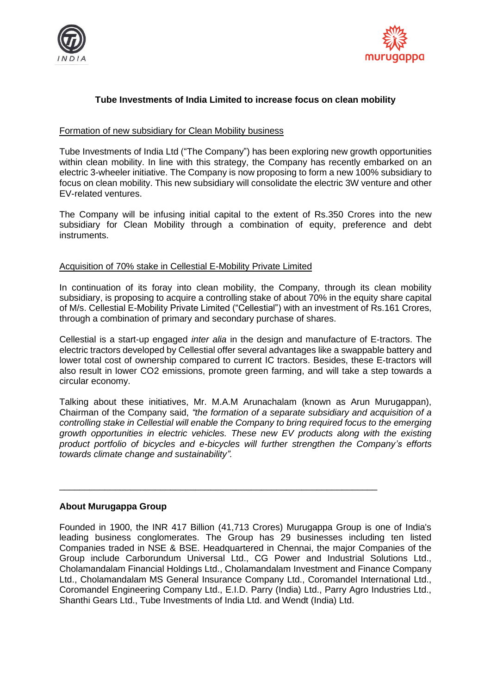



### **Tube Investments of India Limited to increase focus on clean mobility**

### Formation of new subsidiary for Clean Mobility business

Tube Investments of India Ltd ("The Company") has been exploring new growth opportunities within clean mobility. In line with this strategy, the Company has recently embarked on an electric 3-wheeler initiative. The Company is now proposing to form a new 100% subsidiary to focus on clean mobility. This new subsidiary will consolidate the electric 3W venture and other EV-related ventures.

The Company will be infusing initial capital to the extent of Rs.350 Crores into the new subsidiary for Clean Mobility through a combination of equity, preference and debt instruments.

#### Acquisition of 70% stake in Cellestial E-Mobility Private Limited

In continuation of its foray into clean mobility, the Company, through its clean mobility subsidiary, is proposing to acquire a controlling stake of about 70% in the equity share capital of M/s. Cellestial E-Mobility Private Limited ("Cellestial") with an investment of Rs.161 Crores, through a combination of primary and secondary purchase of shares.

Cellestial is a start-up engaged *inter alia* in the design and manufacture of E-tractors. The electric tractors developed by Cellestial offer several advantages like a swappable battery and lower total cost of ownership compared to current IC tractors. Besides, these E-tractors will also result in lower CO2 emissions, promote green farming, and will take a step towards a circular economy.

Talking about these initiatives, Mr. M.A.M Arunachalam (known as Arun Murugappan), Chairman of the Company said, *"the formation of a separate subsidiary and acquisition of a controlling stake in Cellestial will enable the Company to bring required focus to the emerging growth opportunities in electric vehicles. These new EV products along with the existing product portfolio of bicycles and e-bicycles will further strengthen the Company's efforts towards climate change and sustainability".*

\_\_\_\_\_\_\_\_\_\_\_\_\_\_\_\_\_\_\_\_\_\_\_\_\_\_\_\_\_\_\_\_\_\_\_\_\_\_\_\_\_\_\_\_\_\_\_\_\_\_\_\_\_\_\_\_\_\_\_\_\_\_\_

#### **About Murugappa Group**

Founded in 1900, the INR 417 Billion (41,713 Crores) Murugappa Group is one of India's leading business conglomerates. The Group has 29 businesses including ten listed Companies traded in NSE & BSE. Headquartered in Chennai, the major Companies of the Group include Carborundum Universal Ltd., CG Power and Industrial Solutions Ltd., Cholamandalam Financial Holdings Ltd., Cholamandalam Investment and Finance Company Ltd., Cholamandalam MS General Insurance Company Ltd., Coromandel International Ltd., Coromandel Engineering Company Ltd., E.I.D. Parry (India) Ltd., Parry Agro Industries Ltd., Shanthi Gears Ltd., Tube Investments of India Ltd. and Wendt (India) Ltd.